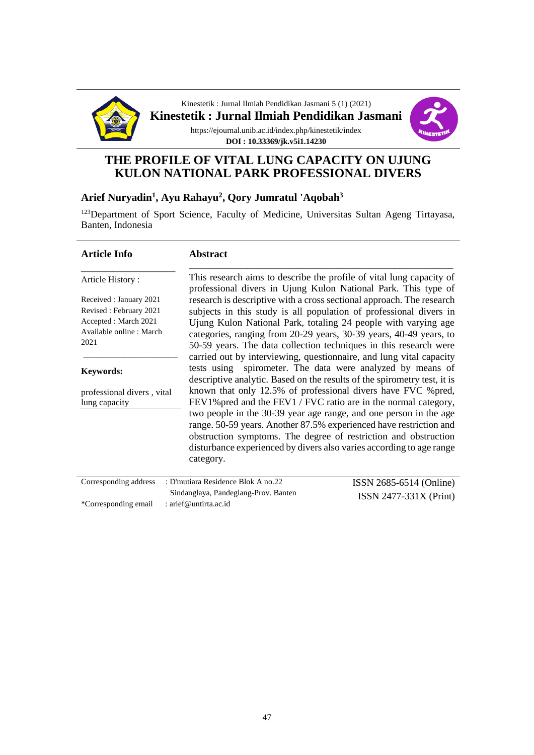

Kinestetik : Jurnal Ilmiah Pendidikan Jasmani 5 (1) (2021) **Kinestetik : Jurnal Ilmiah Pendidikan Jasmani** https://ejournal.unib.ac.id/index.php/kinestetik/index **DOI : 10.33369/jk.v5i1.14230**



# **THE PROFILE OF VITAL LUNG CAPACITY ON UJUNG KULON NATIONAL PARK PROFESSIONAL DIVERS**

### **Arief Nuryadin<sup>1</sup> , Ayu Rahayu<sup>2</sup> , Qory Jumratul 'Aqobah<sup>3</sup>**

<sup>123</sup>Department of Sport Science, Faculty of Medicine, Universitas Sultan Ageng Tirtayasa, Banten, Indonesia

| <b>Article Info</b>                                                                                           | <b>Abstract</b>                                                                                                                                                                                                                                                                                                                                                                                                                                                                                                                                                                                                                                         |                          |
|---------------------------------------------------------------------------------------------------------------|---------------------------------------------------------------------------------------------------------------------------------------------------------------------------------------------------------------------------------------------------------------------------------------------------------------------------------------------------------------------------------------------------------------------------------------------------------------------------------------------------------------------------------------------------------------------------------------------------------------------------------------------------------|--------------------------|
| Article History:                                                                                              | This research aims to describe the profile of vital lung capacity of<br>professional divers in Ujung Kulon National Park. This type of                                                                                                                                                                                                                                                                                                                                                                                                                                                                                                                  |                          |
| Received : January 2021<br>Revised: February 2021<br>Accepted : March 2021<br>Available online: March<br>2021 | research is descriptive with a cross sectional approach. The research<br>subjects in this study is all population of professional divers in<br>Ujung Kulon National Park, totaling 24 people with varying age<br>categories, ranging from 20-29 years, 30-39 years, 40-49 years, to<br>50-59 years. The data collection techniques in this research were                                                                                                                                                                                                                                                                                                |                          |
| <b>Keywords:</b><br>professional divers, vital<br>lung capacity                                               | carried out by interviewing, questionnaire, and lung vital capacity<br>spirometer. The data were analyzed by means of<br>tests using<br>descriptive analytic. Based on the results of the spirometry test, it is<br>known that only 12.5% of professional divers have FVC % pred,<br>FEV1% pred and the FEV1 / FVC ratio are in the normal category,<br>two people in the 30-39 year age range, and one person in the age<br>range. 50-59 years. Another 87.5% experienced have restriction and<br>obstruction symptoms. The degree of restriction and obstruction<br>disturbance experienced by divers also varies according to age range<br>category. |                          |
| Corresponding address                                                                                         | : D'mutiara Residence Blok A no.22                                                                                                                                                                                                                                                                                                                                                                                                                                                                                                                                                                                                                      | ISSN 2685-6514 (Online)  |
|                                                                                                               | Sindanglaya, Pandeglang-Prov. Banten                                                                                                                                                                                                                                                                                                                                                                                                                                                                                                                                                                                                                    | $ISSN 2477-331X (Print)$ |
| *Corresponding email                                                                                          | : arief@untirta.ac.id                                                                                                                                                                                                                                                                                                                                                                                                                                                                                                                                                                                                                                   |                          |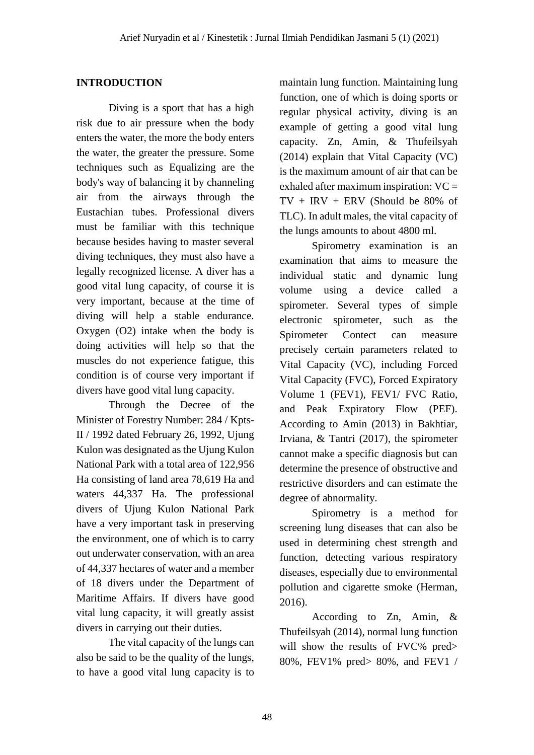### **INTRODUCTION**

Diving is a sport that has a high risk due to air pressure when the body enters the water, the more the body enters the water, the greater the pressure. Some techniques such as Equalizing are the body's way of balancing it by channeling air from the airways through the Eustachian tubes. Professional divers must be familiar with this technique because besides having to master several diving techniques, they must also have a legally recognized license. A diver has a good vital lung capacity, of course it is very important, because at the time of diving will help a stable endurance. Oxygen (O2) intake when the body is doing activities will help so that the muscles do not experience fatigue, this condition is of course very important if divers have good vital lung capacity.

Through the Decree of the Minister of Forestry Number: 284 / Kpts-II / 1992 dated February 26, 1992, Ujung Kulon was designated as the Ujung Kulon National Park with a total area of 122,956 Ha consisting of land area 78,619 Ha and waters 44,337 Ha. The professional divers of Ujung Kulon National Park have a very important task in preserving the environment, one of which is to carry out underwater conservation, with an area of 44,337 hectares of water and a member of 18 divers under the Department of Maritime Affairs. If divers have good vital lung capacity, it will greatly assist divers in carrying out their duties.

The vital capacity of the lungs can also be said to be the quality of the lungs, to have a good vital lung capacity is to maintain lung function. Maintaining lung function, one of which is doing sports or regular physical activity, diving is an example of getting a good vital lung capacity. Zn, Amin, & Thufeilsyah (2014) explain that Vital Capacity (VC) is the maximum amount of air that can be exhaled after maximum inspiration: VC =  $TV + IRV + ERV$  (Should be 80% of TLC). In adult males, the vital capacity of the lungs amounts to about 4800 ml.

Spirometry examination is an examination that aims to measure the individual static and dynamic lung volume using a device called a spirometer. Several types of simple electronic spirometer, such as the Spirometer Contect can measure precisely certain parameters related to Vital Capacity (VC), including Forced Vital Capacity (FVC), Forced Expiratory Volume 1 (FEV1), FEV1/ FVC Ratio, and Peak Expiratory Flow (PEF). According to Amin (2013) in Bakhtiar, Irviana, & Tantri (2017), the spirometer cannot make a specific diagnosis but can determine the presence of obstructive and restrictive disorders and can estimate the degree of abnormality.

Spirometry is a method for screening lung diseases that can also be used in determining chest strength and function, detecting various respiratory diseases, especially due to environmental pollution and cigarette smoke (Herman, 2016).

According to Zn, Amin, & Thufeilsyah (2014), normal lung function will show the results of FVC% pred> 80%, FEV1% pred> 80%, and FEV1 /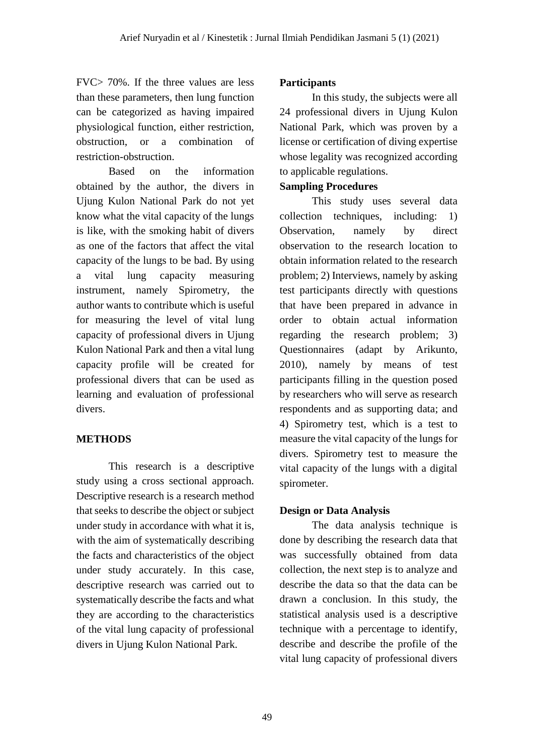FVC> 70%. If the three values are less than these parameters, then lung function can be categorized as having impaired physiological function, either restriction, obstruction, or a combination of restriction-obstruction.

Based on the information obtained by the author, the divers in Ujung Kulon National Park do not yet know what the vital capacity of the lungs is like, with the smoking habit of divers as one of the factors that affect the vital capacity of the lungs to be bad. By using a vital lung capacity measuring instrument, namely Spirometry, the author wants to contribute which is useful for measuring the level of vital lung capacity of professional divers in Ujung Kulon National Park and then a vital lung capacity profile will be created for professional divers that can be used as learning and evaluation of professional divers.

# **METHODS**

This research is a descriptive study using a cross sectional approach. Descriptive research is a research method that seeks to describe the object or subject under study in accordance with what it is, with the aim of systematically describing the facts and characteristics of the object under study accurately. In this case, descriptive research was carried out to systematically describe the facts and what they are according to the characteristics of the vital lung capacity of professional divers in Ujung Kulon National Park.

## **Participants**

In this study, the subjects were all 24 professional divers in Ujung Kulon National Park, which was proven by a license or certification of diving expertise whose legality was recognized according to applicable regulations.

### **Sampling Procedures**

This study uses several data collection techniques, including: 1) Observation, namely by direct observation to the research location to obtain information related to the research problem; 2) Interviews, namely by asking test participants directly with questions that have been prepared in advance in order to obtain actual information regarding the research problem; 3) Questionnaires (adapt by Arikunto, 2010), namely by means of test participants filling in the question posed by researchers who will serve as research respondents and as supporting data; and 4) Spirometry test, which is a test to measure the vital capacity of the lungs for divers. Spirometry test to measure the vital capacity of the lungs with a digital spirometer.

## **Design or Data Analysis**

The data analysis technique is done by describing the research data that was successfully obtained from data collection, the next step is to analyze and describe the data so that the data can be drawn a conclusion. In this study, the statistical analysis used is a descriptive technique with a percentage to identify, describe and describe the profile of the vital lung capacity of professional divers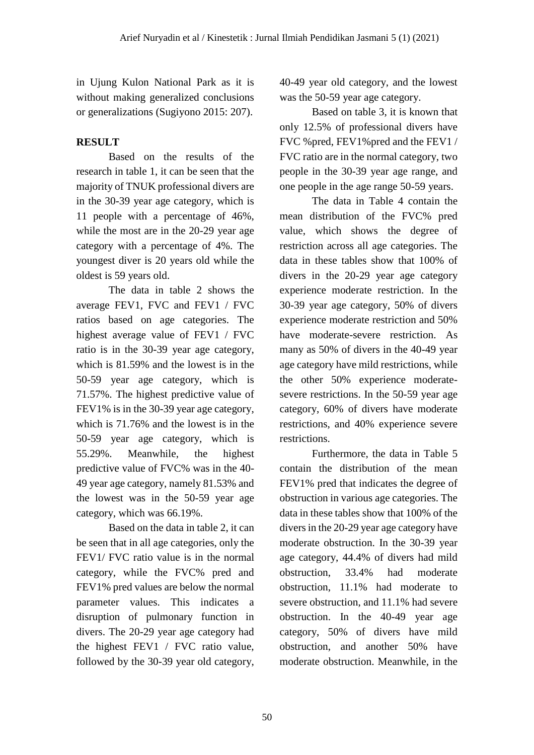in Ujung Kulon National Park as it is without making generalized conclusions or generalizations (Sugiyono 2015: 207).

## **RESULT**

Based on the results of the research in table 1, it can be seen that the majority of TNUK professional divers are in the 30-39 year age category, which is 11 people with a percentage of 46%, while the most are in the 20-29 year age category with a percentage of 4%. The youngest diver is 20 years old while the oldest is 59 years old.

The data in table 2 shows the average FEV1, FVC and FEV1 / FVC ratios based on age categories. The highest average value of FEV1 / FVC ratio is in the 30-39 year age category, which is 81.59% and the lowest is in the 50-59 year age category, which is 71.57%. The highest predictive value of FEV1% is in the 30-39 year age category, which is 71.76% and the lowest is in the 50-59 year age category, which is 55.29%. Meanwhile, the highest predictive value of FVC% was in the 40- 49 year age category, namely 81.53% and the lowest was in the 50-59 year age category, which was 66.19%.

Based on the data in table 2, it can be seen that in all age categories, only the FEV1/ FVC ratio value is in the normal category, while the FVC% pred and FEV1% pred values are below the normal parameter values. This indicates a disruption of pulmonary function in divers. The 20-29 year age category had the highest FEV1 / FVC ratio value, followed by the 30-39 year old category, 40-49 year old category, and the lowest was the 50-59 year age category.

Based on table 3, it is known that only 12.5% of professional divers have FVC %pred, FEV1%pred and the FEV1 / FVC ratio are in the normal category, two people in the 30-39 year age range, and one people in the age range 50-59 years.

The data in Table 4 contain the mean distribution of the FVC% pred value, which shows the degree of restriction across all age categories. The data in these tables show that 100% of divers in the 20-29 year age category experience moderate restriction. In the 30-39 year age category, 50% of divers experience moderate restriction and 50% have moderate-severe restriction. As many as 50% of divers in the 40-49 year age category have mild restrictions, while the other 50% experience moderatesevere restrictions. In the 50-59 year age category, 60% of divers have moderate restrictions, and 40% experience severe restrictions.

Furthermore, the data in Table 5 contain the distribution of the mean FEV1% pred that indicates the degree of obstruction in various age categories. The data in these tables show that 100% of the divers in the 20-29 year age category have moderate obstruction. In the 30-39 year age category, 44.4% of divers had mild obstruction, 33.4% had moderate obstruction, 11.1% had moderate to severe obstruction, and 11.1% had severe obstruction. In the 40-49 year age category, 50% of divers have mild obstruction, and another 50% have moderate obstruction. Meanwhile, in the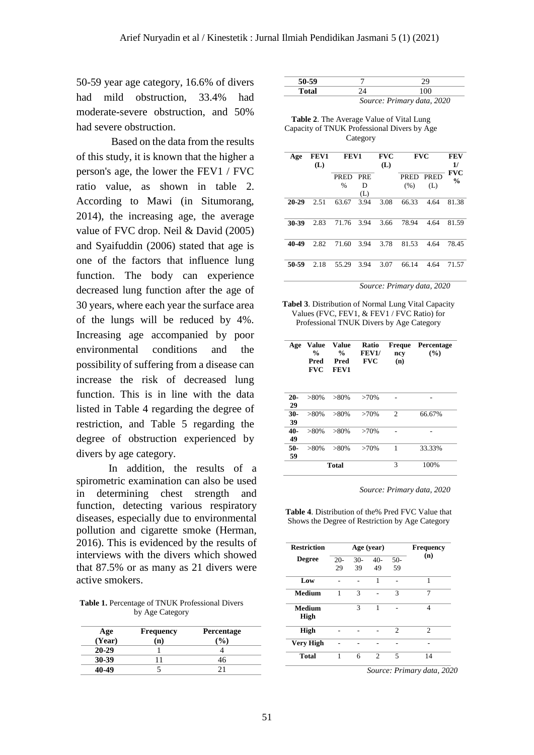50-59 year age category, 16.6% of divers had mild obstruction, 33.4% had moderate-severe obstruction, and 50% had severe obstruction.

Based on the data from the results of this study, it is known that the higher a person's age, the lower the FEV1 / FVC ratio value, as shown in table 2. According to Mawi (in Situmorang, 2014), the increasing age, the average value of FVC drop. Neil & David (2005) and Syaifuddin (2006) stated that age is one of the factors that influence lung function. The body can experience decreased lung function after the age of 30 years, where each year the surface area of the lungs will be reduced by 4%. Increasing age accompanied by poor environmental conditions and the possibility of suffering from a disease can increase the risk of decreased lung function. This is in line with the data listed in Table 4 regarding the degree of restriction, and Table 5 regarding the degree of obstruction experienced by divers by age category.

In addition, the results of a spirometric examination can also be used in determining chest strength and function, detecting various respiratory diseases, especially due to environmental pollution and cigarette smoke (Herman, 2016). This is evidenced by the results of interviews with the divers which showed that 87.5% or as many as 21 divers were active smokers.

**Table 1.** Percentage of TNUK Professional Divers by Age Category

| Age<br>(Year) | <b>Frequency</b><br>(n) | <b>Percentage</b> |  |
|---------------|-------------------------|-------------------|--|
| $20 - 29$     |                         |                   |  |
| 30-39         |                         | 46                |  |
| 40-49         |                         |                   |  |

| $-$ outlet |                                                                                                                                                                                                                                                                                                                                              |  |  |
|------------|----------------------------------------------------------------------------------------------------------------------------------------------------------------------------------------------------------------------------------------------------------------------------------------------------------------------------------------------|--|--|
|            | $\sim$<br>$\mathbf{p}$ $\mathbf{p}$ $\mathbf{p}$ $\mathbf{p}$ $\mathbf{p}$ $\mathbf{p}$ $\mathbf{p}$ $\mathbf{p}$ $\mathbf{p}$ $\mathbf{p}$ $\mathbf{p}$ $\mathbf{p}$ $\mathbf{p}$ $\mathbf{p}$ $\mathbf{p}$ $\mathbf{p}$ $\mathbf{p}$ $\mathbf{p}$ $\mathbf{p}$ $\mathbf{p}$ $\mathbf{p}$ $\mathbf{p}$ $\mathbf{p}$ $\mathbf{p}$ $\mathbf{$ |  |  |

*Source: Primary data, 2020*

| <b>Table 2.</b> The Average Value of Vital Lung |
|-------------------------------------------------|
| Capacity of TNUK Professional Divers by Age     |
| Category                                        |

| Age       | FEV1<br>(L) | FEV1          |            | <b>FVC</b><br>(L) | <b>FVC</b> |      | FEV<br>1/                   |
|-----------|-------------|---------------|------------|-------------------|------------|------|-----------------------------|
|           |             | <b>PRED</b>   | <b>PRE</b> |                   | PRED PRED  |      | <b>FVC</b><br>$\frac{0}{0}$ |
|           |             | $\frac{0}{0}$ | D          |                   | (% )       | (L)  |                             |
|           |             |               | (L)        |                   |            |      |                             |
| $20 - 29$ | 2.51        | 63.67         | 3.94       | 3.08              | 66.33      | 4.64 | 81.38                       |
|           |             |               |            |                   |            |      |                             |
| 30-39     | 2.83        | 71.76         | 3.94       | 3.66              | 78.94      | 4.64 | 81.59                       |
|           |             |               |            |                   |            |      |                             |
| 40-49     | 2.82        | 71.60         | 3.94       | 3.78              | 81.53      | 4.64 | 78.45                       |
|           |             |               |            |                   |            |      |                             |
| 50-59     | 2.18        | 55.29         | 3.94       | 3.07              | 66.14      | 4.64 | 71.57                       |

*Source: Primary data, 2020*

**Tabel 3**. Distribution of Normal Lung Vital Capacity Values (FVC, FEV1, & FEV1 / FVC Ratio) for Professional TNUK Divers by Age Category

| Age          | Value<br>%<br>Pred<br><b>FVC</b> | Value<br>%<br>Pred<br>FEV1 | <b>Ratio</b><br><b>FEV1/</b><br><b>FVC</b> | Freque<br>ncy<br>(n) | <b>Percentage</b><br>(%) |
|--------------|----------------------------------|----------------------------|--------------------------------------------|----------------------|--------------------------|
| $20 -$<br>29 | $>80\%$                          | $>80\%$                    | >70%                                       |                      |                          |
| $30-$<br>39  | $>80\%$                          | $>80\%$                    | >70%                                       | $\overline{c}$       | 66.67%                   |
| $40-$<br>49  | $>80\%$                          | $>80\%$                    | >70%                                       |                      |                          |
| $50-$<br>59  | $>80\%$                          | $>80\%$                    | $>70\%$                                    | 1                    | 33.33%                   |
|              |                                  | Total                      |                                            | 3                    | 100%                     |

*Source: Primary data, 2020*

**Table 4**. Distribution of the% Pred FVC Value that Shows the Degree of Restriction by Age Category

| <b>Restriction</b>    |        | Age (year) | <b>Frequency</b> |                |                |
|-----------------------|--------|------------|------------------|----------------|----------------|
| <b>Degree</b>         | $20 -$ | $30-$      | $40-$            | $50-$          | (n)            |
|                       | 29     | 39         | 49               | 59             |                |
| Low                   |        |            | 1                |                | 1              |
| Medium                | 1      | 3          |                  | 3              | 7              |
| <b>Medium</b><br>High |        | 3          | 1                |                | 4              |
| <b>High</b>           |        |            |                  | $\mathfrak{D}$ | $\mathfrak{D}$ |
| <b>Very High</b>      |        |            |                  |                |                |
| Total                 | 1      | 6          | 2                | 5              | 14             |

*Source: Primary data, 2020*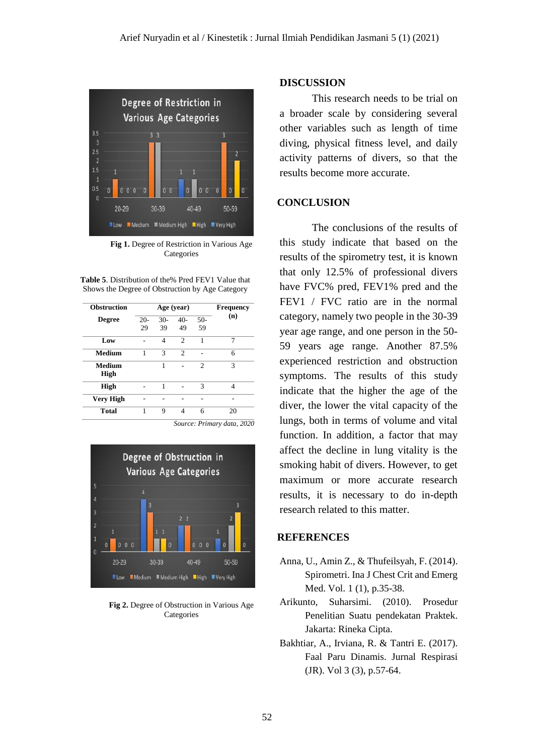

**Fig 1.** Degree of Restriction in Various Age **Categories** 

**Table 5**. Distribution of the% Pred FEV1 Value that Shows the Degree of Obstruction by Age Category

| <b>Obstruction</b> |       | Age (year)  | <b>Frequency</b> |                |     |
|--------------------|-------|-------------|------------------|----------------|-----|
| <b>Degree</b>      | $20-$ | $30-$<br>39 | $40-$            | $50-$<br>59    | (n) |
|                    | 29    |             | 49               |                |     |
| Low                |       | 4           | $\mathfrak{D}$   | 1              | 7   |
| <b>Medium</b>      | 1     | 3           | $\mathfrak{D}$   |                | 6   |
| Medium<br>High     |       | 1           |                  | $\overline{c}$ | 3   |
| High               |       | 1           |                  | 3              | 4   |
| <b>Very High</b>   |       |             |                  |                |     |
| Total              |       | 9           | Δ                | 6              | 20  |

*Source: Primary data, 2020*



**Fig 2.** Degree of Obstruction in Various Age **Categories** 

#### **DISCUSSION**

This research needs to be trial on a broader scale by considering several other variables such as length of time diving, physical fitness level, and daily activity patterns of divers, so that the results become more accurate.

#### **CONCLUSION**

The conclusions of the results of this study indicate that based on the results of the spirometry test, it is known that only 12.5% of professional divers have FVC% pred, FEV1% pred and the FEV1 / FVC ratio are in the normal category, namely two people in the 30-39 year age range, and one person in the 50- 59 years age range. Another 87.5% experienced restriction and obstruction symptoms. The results of this study indicate that the higher the age of the diver, the lower the vital capacity of the lungs, both in terms of volume and vital function. In addition, a factor that may affect the decline in lung vitality is the smoking habit of divers. However, to get maximum or more accurate research results, it is necessary to do in-depth research related to this matter.

#### **REFERENCES**

- Anna, U., Amin Z., & Thufeilsyah, F. (2014). Spirometri. Ina J Chest Crit and Emerg Med. Vol. 1 (1), p.35-38.
- Arikunto, Suharsimi. (2010). Prosedur Penelitian Suatu pendekatan Praktek. Jakarta: Rineka Cipta.
- Bakhtiar, A., Irviana, R. & Tantri E. (2017). Faal Paru Dinamis. Jurnal Respirasi (JR). Vol 3 (3), p.57-64.